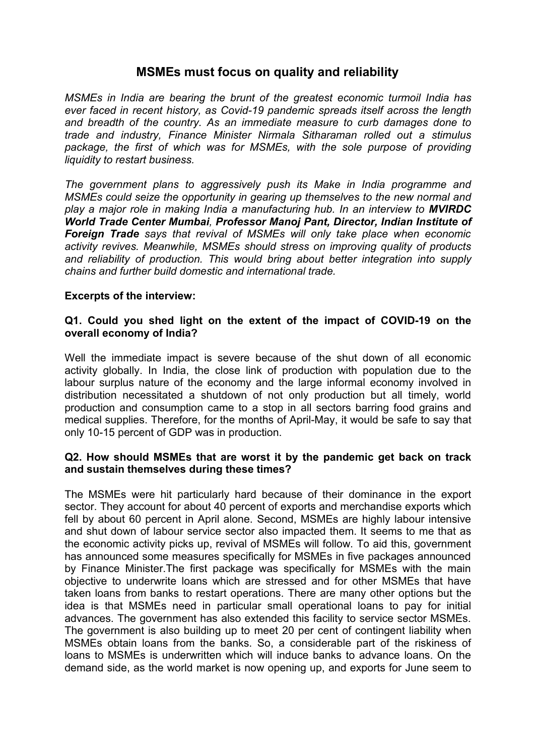# **MSMEs must focus on quality and reliability**

*MSMEs in India are bearing the brunt of the greatest economic turmoil India has ever faced in recent history, as Covid-19 pandemic spreads itself across the length and breadth of the country. As an immediate measure to curb damages done to trade and industry, Finance Minister Nirmala Sitharaman rolled out a stimulus package, the first of which was for MSMEs, with the sole purpose of providing liquidity to restart business.* 

*The government plans to aggressively push its Make in India programme and MSMEs could seize the opportunity in gearing up themselves to the new normal and play a major role in making India a manufacturing hub. In an interview to MVIRDC World Trade Center Mumbai, Professor Manoj Pant, Director, Indian Institute of Foreign Trade says that revival of MSMEs will only take place when economic activity revives. Meanwhile, MSMEs should stress on improving quality of products and reliability of production. This would bring about better integration into supply chains and further build domestic and international trade.*

### **Excerpts of the interview:**

### **Q1. Could you shed light on the extent of the impact of COVID-19 on the overall economy of India?**

Well the immediate impact is severe because of the shut down of all economic activity globally. In India, the close link of production with population due to the labour surplus nature of the economy and the large informal economy involved in distribution necessitated a shutdown of not only production but all timely, world production and consumption came to a stop in all sectors barring food grains and medical supplies. Therefore, for the months of April-May, it would be safe to say that only 10-15 percent of GDP was in production.

### **Q2. How should MSMEs that are worst it by the pandemic get back on track and sustain themselves during these times?**

The MSMEs were hit particularly hard because of their dominance in the export sector. They account for about 40 percent of exports and merchandise exports which fell by about 60 percent in April alone. Second, MSMEs are highly labour intensive and shut down of labour service sector also impacted them. It seems to me that as the economic activity picks up, revival of MSMEs will follow. To aid this, government has announced some measures specifically for MSMEs in five packages announced by Finance Minister.The first package was specifically for MSMEs with the main objective to underwrite loans which are stressed and for other MSMEs that have taken loans from banks to restart operations. There are many other options but the idea is that MSMEs need in particular small operational loans to pay for initial advances. The government has also extended this facility to service sector MSMEs. The government is also building up to meet 20 per cent of contingent liability when MSMEs obtain loans from the banks. So, a considerable part of the riskiness of loans to MSMEs is underwritten which will induce banks to advance loans. On the demand side, as the world market is now opening up, and exports for June seem to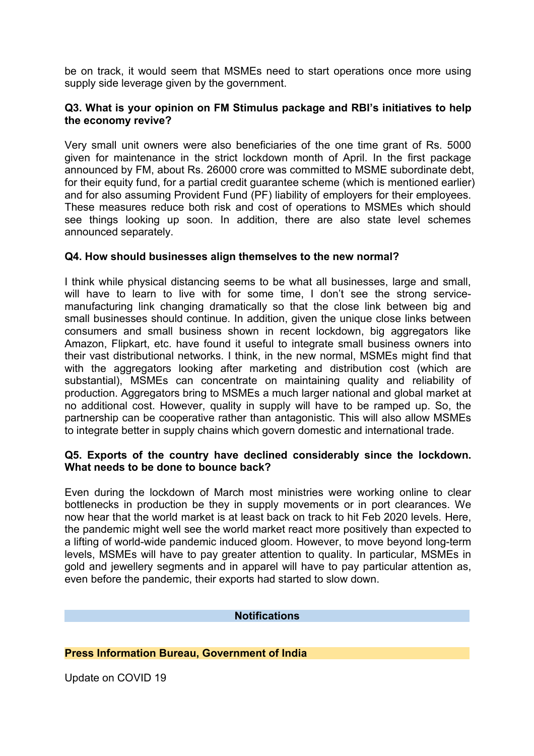be on track, it would seem that MSMEs need to start operations once more using supply side leverage given by the government.

# **Q3. What is your opinion on FM Stimulus package and RBI's initiatives to help the economy revive?**

Very small unit owners were also beneficiaries of the one time grant of Rs. 5000 given for maintenance in the strict lockdown month of April. In the first package announced by FM, about Rs. 26000 crore was committed to MSME subordinate debt, for their equity fund, for a partial credit guarantee scheme (which is mentioned earlier) and for also assuming Provident Fund (PF) liability of employers for their employees. These measures reduce both risk and cost of operations to MSMEs which should see things looking up soon. In addition, there are also state level schemes announced separately.

# **Q4. How should businesses align themselves to the new normal?**

I think while physical distancing seems to be what all businesses, large and small, will have to learn to live with for some time. I don't see the strong servicemanufacturing link changing dramatically so that the close link between big and small businesses should continue. In addition, given the unique close links between consumers and small business shown in recent lockdown, big aggregators like Amazon, Flipkart, etc. have found it useful to integrate small business owners into their vast distributional networks. I think, in the new normal, MSMEs might find that with the aggregators looking after marketing and distribution cost (which are substantial), MSMEs can concentrate on maintaining quality and reliability of production. Aggregators bring to MSMEs a much larger national and global market at no additional cost. However, quality in supply will have to be ramped up. So, the partnership can be cooperative rather than antagonistic. This will also allow MSMEs to integrate better in supply chains which govern domestic and international trade.

### **Q5. Exports of the country have declined considerably since the lockdown. What needs to be done to bounce back?**

Even during the lockdown of March most ministries were working online to clear bottlenecks in production be they in supply movements or in port clearances. We now hear that the world market is at least back on track to hit Feb 2020 levels. Here, the pandemic might well see the world market react more positively than expected to a lifting of world-wide pandemic induced gloom. However, to move beyond long-term levels, MSMEs will have to pay greater attention to quality. In particular, MSMEs in gold and jewellery segments and in apparel will have to pay particular attention as, even before the pandemic, their exports had started to slow down.

# **Notifications**

# **Press Information Bureau, Government of India**

Update on COVID 19